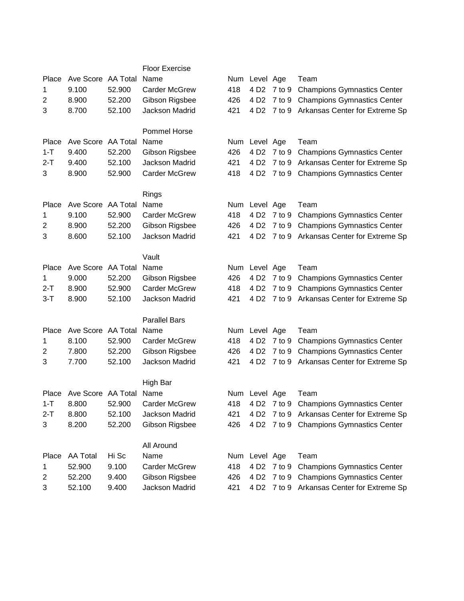|                |                    |        | <b>Floor Exercise</b> |     |                  |             |                                             |
|----------------|--------------------|--------|-----------------------|-----|------------------|-------------|---------------------------------------------|
| Place          | Ave Score AA Total |        | Name                  |     | Num Level Age    |             | Team                                        |
| 1              | 9.100              | 52.900 | <b>Carder McGrew</b>  | 418 | 4 D <sub>2</sub> | $7$ to $9$  | <b>Champions Gymnastics Center</b>          |
| $\overline{c}$ | 8.900              | 52.200 | Gibson Rigsbee        | 426 | 4 D <sub>2</sub> | 7 to 9      | <b>Champions Gymnastics Center</b>          |
| 3              | 8.700              | 52.100 | Jackson Madrid        | 421 | 4 D <sub>2</sub> | $7$ to $9$  | Arkansas Center for Extreme Sp              |
|                |                    |        |                       |     |                  |             |                                             |
|                |                    |        | Pommel Horse          |     |                  |             |                                             |
| Place          | Ave Score AA Total |        | Name                  |     | Num Level Age    |             | Team                                        |
| $1 - T$        | 9.400              | 52.200 | Gibson Rigsbee        | 426 | 4 D <sub>2</sub> | 7 to 9      | <b>Champions Gymnastics Center</b>          |
| $2 - T$        | 9.400              | 52.100 | Jackson Madrid        | 421 | 4 D <sub>2</sub> | $7$ to $9$  | Arkansas Center for Extreme Sp              |
| 3              | 8.900              | 52.900 | <b>Carder McGrew</b>  | 418 | 4 D <sub>2</sub> | $7$ to $9$  | <b>Champions Gymnastics Center</b>          |
|                |                    |        | Rings                 |     |                  |             |                                             |
| Place          | Ave Score AA Total |        | Name                  |     | Num Level Age    |             | Team                                        |
| 1              | 9.100              | 52.900 | <b>Carder McGrew</b>  | 418 | 4 D <sub>2</sub> | 7 to 9      | <b>Champions Gymnastics Center</b>          |
| 2              | 8.900              | 52.200 | Gibson Rigsbee        | 426 | 4 D <sub>2</sub> | 7 to 9      | <b>Champions Gymnastics Center</b>          |
| 3              | 8.600              | 52.100 | Jackson Madrid        | 421 | 4 D <sub>2</sub> |             | 7 to 9 Arkansas Center for Extreme Sp       |
|                |                    |        |                       |     |                  |             |                                             |
|                |                    |        | Vault                 |     |                  |             |                                             |
| Place          | Ave Score AA Total |        | Name                  |     | Num Level Age    |             | Team                                        |
| 1              | 9.000              | 52.200 | Gibson Rigsbee        | 426 | 4 D <sub>2</sub> | 7 to 9      | <b>Champions Gymnastics Center</b>          |
| 2-T            | 8.900              | 52.900 | <b>Carder McGrew</b>  | 418 | 4 D <sub>2</sub> | 7 to 9      | <b>Champions Gymnastics Center</b>          |
| $3-T$          | 8.900              | 52.100 | Jackson Madrid        | 421 | 4 D <sub>2</sub> | $7$ to $9$  | Arkansas Center for Extreme Sp              |
|                |                    |        |                       |     |                  |             |                                             |
|                |                    |        | <b>Parallel Bars</b>  |     |                  |             |                                             |
| Place          | Ave Score AA Total |        | Name                  |     | Num Level Age    |             | Team                                        |
| 1              | 8.100              | 52.900 | <b>Carder McGrew</b>  | 418 | 4 D <sub>2</sub> | 7 to 9      | <b>Champions Gymnastics Center</b>          |
| 2              | 7.800              | 52.200 | Gibson Rigsbee        | 426 | 4 D <sub>2</sub> | 7 to 9      | <b>Champions Gymnastics Center</b>          |
| 3              | 7.700              | 52.100 | Jackson Madrid        | 421 | 4 D <sub>2</sub> | $7$ to $9$  | Arkansas Center for Extreme Sp              |
|                |                    |        | High Bar              |     |                  |             |                                             |
| Place          | Ave Score AA Total |        | Name                  |     | Num Level Age    |             | Team                                        |
| 1-T            | 8.800              | 52.900 | Carder McGrew         |     |                  |             | 418 4 D2 7 to 9 Champions Gymnastics Center |
| $2-T$          | 8.800              | 52.100 | Jackson Madrid        | 421 |                  |             | 4 D2 7 to 9 Arkansas Center for Extreme Sp  |
| 3              | 8.200              | 52.200 | Gibson Rigsbee        | 426 |                  |             | 4 D2 7 to 9 Champions Gymnastics Center     |
|                |                    |        |                       |     |                  |             |                                             |
|                |                    |        | All Around            |     |                  |             |                                             |
| Place          | <b>AA Total</b>    | Hi Sc  | Name                  |     | Num Level Age    |             | Team                                        |
| 1              | 52.900             | 9.100  | <b>Carder McGrew</b>  | 418 |                  | 4 D2 7 to 9 | <b>Champions Gymnastics Center</b>          |
| 2              | 52.200             | 9.400  | Gibson Rigsbee        | 426 | 4 D <sub>2</sub> |             | 7 to 9 Champions Gymnastics Center          |
| 3              | 52.100             | 9.400  | Jackson Madrid        | 421 |                  |             | 4 D2 7 to 9 Arkansas Center for Extreme Sp  |